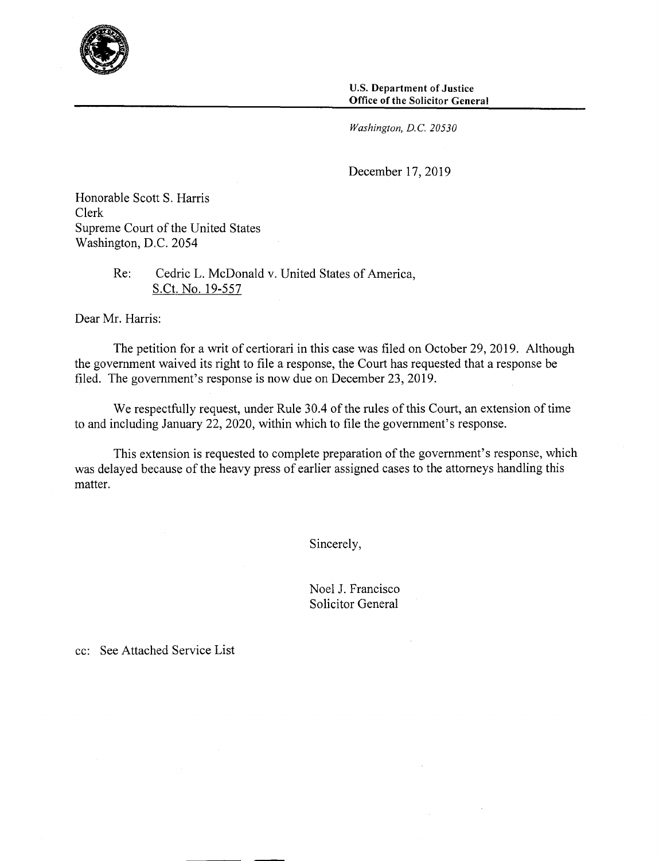

*Washington, D.C. 20530* 

December 17, 2019

Honorable Scott S. Harris Clerk Supreme Court of the United States Washington, D.C. 2054

> Re: Cedric L. McDonald v. United States of America, S.Ct. No. 19-557

Dear Mr. Harris:

The petition for a writ of certiorari in this case was filed on October 29, 2019. Although the government waived its right to file a response, the Court has requested that a response be filed. The government's response is now due on December 23, 2019.

We respectfully request, under Rule 30.4 of the rules of this Court, an extension of time to and including January 22, 2020, within which to file the government's response.

This extension is requested to complete preparation of the government's response, which was delayed because of the heavy press of earlier assigned cases to the attorneys handling this matter.

Sincerely,

Noel J. Francisco Solicitor General

cc: See Attached Service List